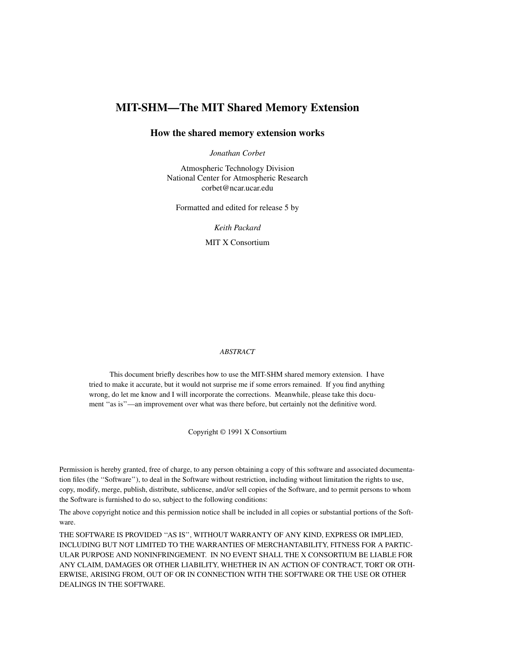# **MIT-SHM—The MIT Shared Memory Extension**

## **How the shared memory extension works**

*Jonathan Corbet*

Atmospheric Technology Division National Center for Atmospheric Research corbet@ncar.ucar.edu

Formatted and edited for release 5 by

*Keith Packard*

MIT X Consortium

#### *ABSTRACT*

This document briefly describes how to use the MIT-SHM shared memory extension. I have tried to make it accurate, but it would not surprise me if some errors remained. If you find anything wrong, do let me know and I will incorporate the corrections. Meanwhile, please take this document "as is"—an improvement over what was there before, but certainly not the definitive word.

Copyright © 1991 X Consortium

Permission is hereby granted, free of charge, to any person obtaining a copy of this software and associated documentation files (the ''Software''), to deal in the Software without restriction, including without limitation the rights to use, copy, modify, merge, publish, distribute, sublicense, and/or sell copies of the Software, and to permit persons to whom the Software is furnished to do so, subject to the following conditions:

The above copyright notice and this permission notice shall be included in all copies or substantial portions of the Software.

THE SOFTWARE IS PROVIDED ''AS IS'', WITHOUT WARRANTY OF ANY KIND, EXPRESS OR IMPLIED, INCLUDING BUT NOT LIMITED TO THE WARRANTIES OF MERCHANTABILITY, FITNESS FOR A PARTIC-ULAR PURPOSE AND NONINFRINGEMENT. IN NO EVENT SHALL THE X CONSORTIUM BE LIABLE FOR ANY CLAIM, DAMAGES OR OTHER LIABILITY, WHETHER IN AN ACTION OF CONTRACT, TORT OR OTH-ERWISE, ARISING FROM, OUT OF OR IN CONNECTION WITH THE SOFTWARE OR THE USE OR OTHER DEALINGS IN THE SOFTWARE.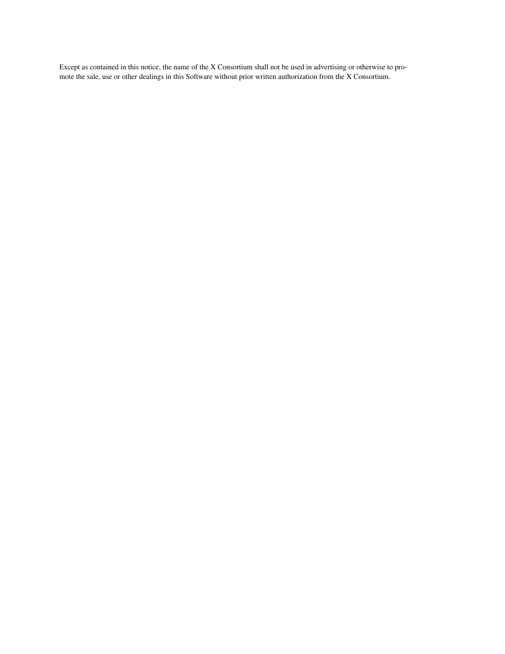Except as contained in this notice, the name of the X Consortium shall not be used in advertising or otherwise to promote the sale, use or other dealings in this Software without prior written authorization from the X Consortium.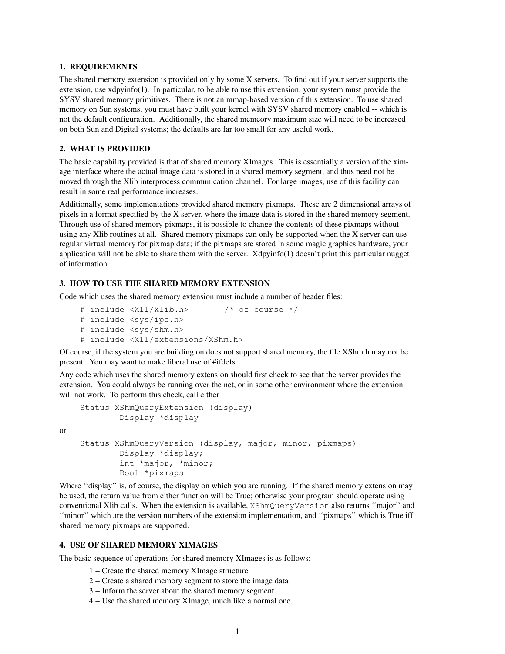#### **1. REQUIREMENTS**

The shared memory extension is provided only by some X servers. To find out if your server supports the extension, use xdpyinfo(1). In particular, to be able to use this extension, your system must provide the SYSV shared memory primitives. There is not an mmap-based version of this extension. To use shared memory on Sun systems, you must have built your kernel with SYSV shared memory enabled -- which is not the default configuration. Additionally, the shared memeory maximum size will need to be increased on both Sun and Digital systems; the defaults are far too small for any useful work.

## **2. WHAT IS PROVIDED**

or

The basic capability provided is that of shared memory XImages. This is essentially a version of the ximage interface where the actual image data is stored in a shared memory segment, and thus need not be moved through the Xlib interprocess communication channel. For large images, use of this facility can result in some real performance increases.

Additionally, some implementations provided shared memory pixmaps. These are 2 dimensional arrays of pixels in a format specified by the X server, where the image data is stored in the shared memory segment. Through use of shared memory pixmaps, it is possible to change the contents of these pixmaps without using any Xlib routines at all. Shared memory pixmaps can only be supported when the X server can use regular virtual memory for pixmap data; if the pixmaps are stored in some magic graphics hardware, your application will not be able to share them with the server.  $Xdpyinfo(1)$  doesn't print this particular nugget of information.

#### **3. HOW TO USE THE SHARED MEMORY EXTENSION**

Code which uses the shared memory extension must include a number of header files:

```
# include <X11/Xlib.h> /* of course */
# include <sys/ipc.h>
# include <sys/shm.h>
# include <X11/extensions/XShm.h>
```
Of course, if the system you are building on does not support shared memory, the file XShm.h may not be present. You may want to make liberal use of #ifdefs.

Any code which uses the shared memory extension should first check to see that the server provides the extension. You could always be running over the net, or in some other environment where the extension will not work. To perform this check, call either

```
Status XShmQueryExtension (display)
        Display *display
Status XShmQueryVersion (display, major, minor, pixmaps)
        Display *display;
        int *major, *minor;
        Bool *pixmaps
```
Where "display" is, of course, the display on which you are running. If the shared memory extension may be used, the return value from either function will be True; otherwise your program should operate using conventional Xlib calls. When the extension is available, XShmQueryVersion also returns ''major'' and ''minor'' which are the version numbers of the extension implementation, and ''pixmaps'' which is True iff shared memory pixmaps are supported.

## **4. USE OF SHARED MEMORY XIMAGES**

The basic sequence of operations for shared memory XImages is as follows:

- 1−Create the shared memory XImage structure
- 2−Create a shared memory segment to store the image data
- 3−Inform the server about the shared memory segment
- 4 Use the shared memory XImage, much like a normal one.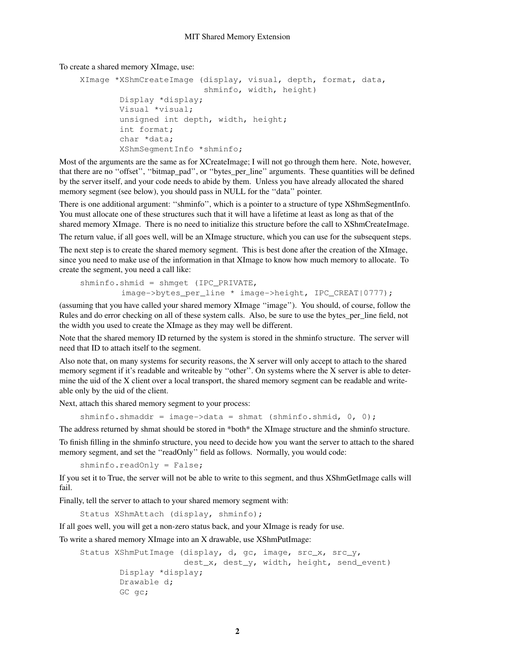To create a shared memory XImage, use:

```
XImage *XShmCreateImage (display, visual, depth, format, data,
                         shminfo, width, height)
        Display *display;
        Visual *visual;
        unsigned int depth, width, height;
        int format;
        char *data;
        XShmSegmentInfo *shminfo;
```
Most of the arguments are the same as for XCreateImage; I will not go through them here. Note, however, that there are no "offset", "bitmap\_pad", or "bytes\_per\_line" arguments. These quantities will be defined by the server itself, and your code needs to abide by them. Unless you have already allocated the shared memory segment (see below), you should pass in NULL for the ''data'' pointer.

There is one additional argument: ''shminfo'', which is a pointer to a structure of type XShmSegmentInfo. You must allocate one of these structures such that it will have a lifetime at least as long as that of the shared memory XImage. There is no need to initialize this structure before the call to XShmCreateImage.

The return value, if all goes well, will be an XImage structure, which you can use for the subsequent steps.

The next step is to create the shared memory segment. This is best done after the creation of the XImage, since you need to make use of the information in that XImage to know how much memory to allocate. To create the segment, you need a call like:

```
shminfo.shmid = shmqet (IPC PRIVATE,
        image->bytes_per_line * image->height, IPC_CREAT|0777);
```
(assuming that you have called your shared memory XImage ''image''). You should, of course, follow the Rules and do error checking on all of these system calls. Also, be sure to use the bytes\_per\_line field, not the width you used to create the XImage as they may well be different.

Note that the shared memory ID returned by the system is stored in the shminfo structure. The server will need that ID to attach itself to the segment.

Also note that, on many systems for security reasons, the X server will only accept to attach to the shared memory segment if it's readable and writeable by ''other''. On systems where the X server is able to determine the uid of the X client over a local transport, the shared memory segment can be readable and writeable only by the uid of the client.

Next, attach this shared memory segment to your process:

shminfo.shmaddr = image->data = shmat (shminfo.shmid,  $0, 0$ );

The address returned by shmat should be stored in \*both\* the XImage structure and the shminfo structure.

To finish filling in the shminfo structure, you need to decide how you want the server to attach to the shared memory segment, and set the ''readOnly'' field as follows. Normally, you would code:

shminfo.readOnly = False;

If you set it to True, the server will not be able to write to this segment, and thus XShmGetImage calls will fail.

Finally, tell the server to attach to your shared memory segment with:

Status XShmAttach (display, shminfo);

If all goes well, you will get a non-zero status back, and your XImage is ready for use.

To write a shared memory XImage into an X drawable, use XShmPutImage:

```
Status XShmPutImage (display, d, gc, image, src_x, src_y,
                     dest_x, dest_y, width, height, send_event)
        Display *display;
        Drawable d;
        GC gc;
```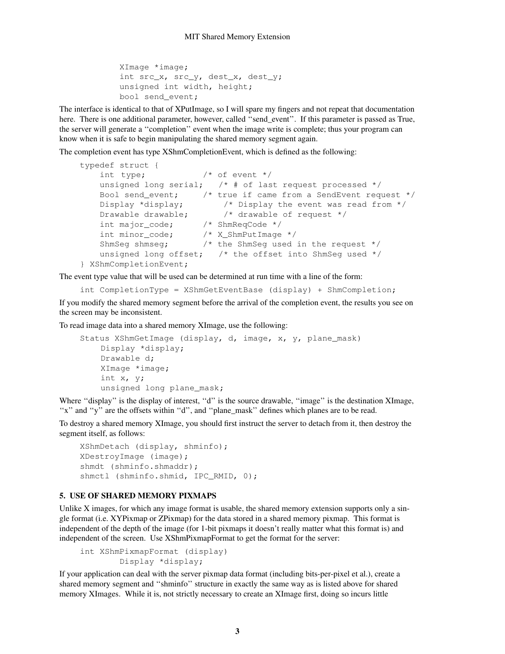```
XImage *image;
int src_x, src_y, dest_x, dest_y;
unsigned int width, height;
bool send event;
```
The interface is identical to that of XPutImage, so I will spare my fingers and not repeat that documentation here. There is one additional parameter, however, called "send event". If this parameter is passed as True, the server will generate a ''completion'' event when the image write is complete; thus your program can know when it is safe to begin manipulating the shared memory segment again.

The completion event has type XShmCompletionEvent, which is defined as the following:

```
typedef struct {
    int type; \frac{1}{2} /* of event */
    unsigned long serial; /* # of last request processed */Bool send_event; \frac{1}{2} /* true if came from a SendEvent request */
    Display *display; \frac{1}{2} /* Display the event was read from */
    Display *display; \frac{1}{2} /* Display the event was read from */<br>Drawable drawable; \frac{1}{2} /* drawable of request */
    int major_code; /* ShmReqCode */
    int minor_code; /* X_ShmPutImage */
    ShmSeg shmseg; /* the ShmSeg used in the request */
    unsigned long offset; \frac{1}{x} the offset into ShmSeg used */
} XShmCompletionEvent;
```
The event type value that will be used can be determined at run time with a line of the form:

```
int CompletionType = XShmGetEventBase (display) + ShmCompletion;
```
If you modify the shared memory segment before the arrival of the completion event, the results you see on the screen may be inconsistent.

To read image data into a shared memory XImage, use the following:

```
Status XShmGetImage (display, d, image, x, y, plane_mask)
    Display *display;
    Drawable d;
    XImage *image;
    int x, y;
    unsigned long plane mask;
```
Where "display" is the display of interest, "d" is the source drawable, "image" is the destination XImage, "x" and "y" are the offsets within "d", and "plane\_mask" defines which planes are to be read.

To destroy a shared memory XImage, you should first instruct the server to detach from it, then destroy the segment itself, as follows:

```
XShmDetach (display, shminfo);
XDestroyImage (image);
shmdt (shminfo.shmaddr);
shmctl (shminfo.shmid, IPC_RMID, 0);
```
### **5. USE OF SHARED MEMORY PIXMAPS**

Unlike  $X$  images, for which any image format is usable, the shared memory extension supports only a single format (i.e. XYPixmap or ZPixmap) for the data stored in a shared memory pixmap. This format is independent of the depth of the image (for 1-bit pixmaps it doesn't really matter what this format is) and independent of the screen. Use XShmPixmapFormat to get the format for the server:

```
int XShmPixmapFormat (display)
        Display *display;
```
If your application can deal with the server pixmap data format (including bits-per-pixel et al.), create a shared memory segment and ''shminfo'' structure in exactly the same way as is listed above for shared memory XImages. While it is, not strictly necessary to create an XImage first, doing so incurs little